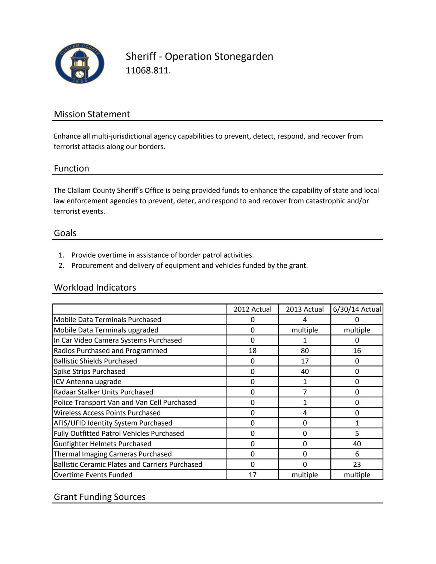

Sheriff - Operation Stonegarden 11068.811.

# Mission Statement

Enhance all multi-jurisdictional agency capabilities to prevent, detect, respond, and recover from terrorist attacks along our borders.

#### Function

The Clallam County Sheriff's Office is being provided funds to enhance the capability of state and local law enforcement agencies to prevent, deter, and respond to and recover from catastrophic and/or terrorist events.

#### Goals

- 1. Provide overtime in assistance of border patrol activities.
- 2. Procurement and delivery of equipment and vehicles funded by the grant.

#### Workload Indicators

|                                                        | 2012 Actual | 2013 Actual | 6/30/14 Actual |
|--------------------------------------------------------|-------------|-------------|----------------|
| <b>Mobile Data Terminals Purchased</b>                 |             | 4           |                |
| Mobile Data Terminals upgraded                         | 0           | multiple    | multiple       |
| In Car Video Camera Systems Purchased                  | 0           | 1           | $\Omega$       |
| Radios Purchased and Programmed                        | 18          | 80          | 16             |
| <b>Ballistic Shields Purchased</b>                     | 0           | 17          | $\Omega$       |
| Spike Strips Purchased                                 | 0           | 40          | 0              |
| ICV Antenna upgrade                                    | 0           |             | 0              |
| Radaar Stalker Units Purchased                         | 0           |             | 0              |
| Police Transport Van and Van Cell Purchased            | 0           |             | $\Omega$       |
| Wireless Access Points Purchased                       | 0           | 4           | 0              |
| AFIS/UFID Identity System Purchased                    | 0           | 0           | 1              |
| Fully Outfitted Patrol Vehicles Purchased              | O           | 0           | 5              |
| <b>Gunfighter Helmets Purchased</b>                    | 0           | 0           | 40             |
| Thermal Imaging Cameras Purchased                      | 0           | 0           | 6              |
| <b>Ballistic Ceramic Plates and Carriers Purchased</b> | O           | ŋ           | 23             |
| <b>Overtime Events Funded</b>                          | 17          | multiple    | multiple       |

## Grant Funding Sources